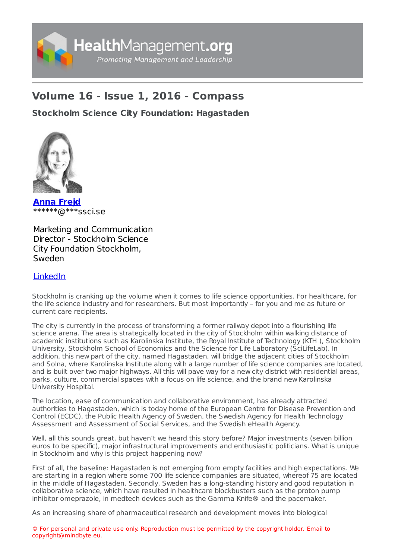

## **Volume 16 - Issue 1, 2016 - Compass**

**Stockholm Science City [Foundation:](https://healthmanagement.org/s/stockholm-science-city-foundation-hagastaden) Hagastaden**



**[Anna](https://healthmanagement.org/viewProfile/89650/Anna_Frejd) Frejd** \*\*\*\*\*\*@\*\*\*ssci.se

Marketing and Communication Director - Stockholm Science City Foundation Stockholm, Sweden

## [LinkedIn](https://www.linkedin.com/in/annafrejd/)

Stockholm is cranking up the volume when it comes to life science opportunities. For healthcare, for the life science industry and for researchers. But most importantly – for you and me as future or current care recipients.

The city is currently in the process of transforming a former railway depot into a flourishing life science arena. The area is strategically located in the city of Stockholm within walking distance of academic institutions such as Karolinska Institute, the Royal Institute of Technology (KTH ), Stockholm University, Stockholm School of Economics and the Science for Life Laboratory (SciLifeLab). In addition, this new part of the city, named Hagastaden, will bridge the adjacent cities of Stockholm and Solna, where Karolinska Institute along with a large number of life science companies are located, and is built over two major highways. All this will pave way for a new city district with residential areas, parks, culture, commercial spaces with a focus on life science, and the brand new Karolinska University Hospital.

The location, ease of communication and collaborative environment, has already attracted authorities to Hagastaden, which is today home of the European Centre for Disease Prevention and Control (ECDC), the Public Health Agency of Sweden, the Swedish Agency for Health Technology Assessment and Assessment of Social Services, and the Swedish eHealth Agency.

Well, all this sounds great, but haven't we heard this story before? Major investments (seven billion euros to be specific), major infrastructural improvements and enthusiastic politicians. What is unique in Stockholm and why is this project happening now?

First of all, the baseline: Hagastaden is not emerging from empty facilities and high expectations. We are starting in a region where some 700 life science companies are situated, whereof 75 are located in the middle of Hagastaden. Secondly, Sweden has a long-standing history and good reputation in collaborative science, which have resulted in healthcare blockbusters such as the proton pump inhibitor omeprazole, in medtech devices such as the Gamma Knife® and the pacemaker.

As an increasing share of pharmaceutical research and development moves into biological

© For personal and private use only. Reproduction must be permitted by the copyright holder. Email to copyright@mindbyte.eu.